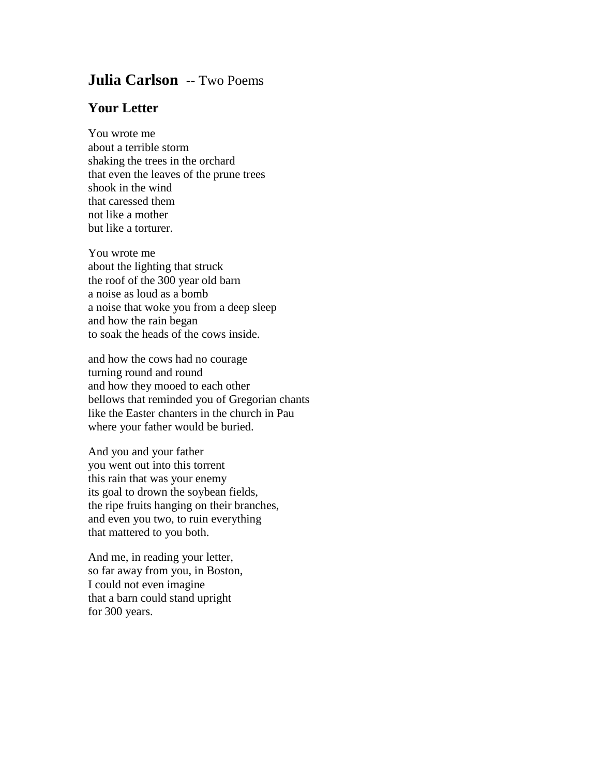## **Julia Carlson** -- Two Poems

## **Your Letter**

You wrote me about a terrible storm shaking the trees in the orchard that even the leaves of the prune trees shook in the wind that caressed them not like a mother but like a torturer.

You wrote me about the lighting that struck the roof of the 300 year old barn a noise as loud as a bomb a noise that woke you from a deep sleep and how the rain began to soak the heads of the cows inside.

and how the cows had no courage turning round and round and how they mooed to each other bellows that reminded you of Gregorian chants like the Easter chanters in the church in Pau where your father would be buried.

And you and your father you went out into this torrent this rain that was your enemy its goal to drown the soybean fields, the ripe fruits hanging on their branches, and even you two, to ruin everything that mattered to you both.

And me, in reading your letter, so far away from you, in Boston, I could not even imagine that a barn could stand upright for 300 years.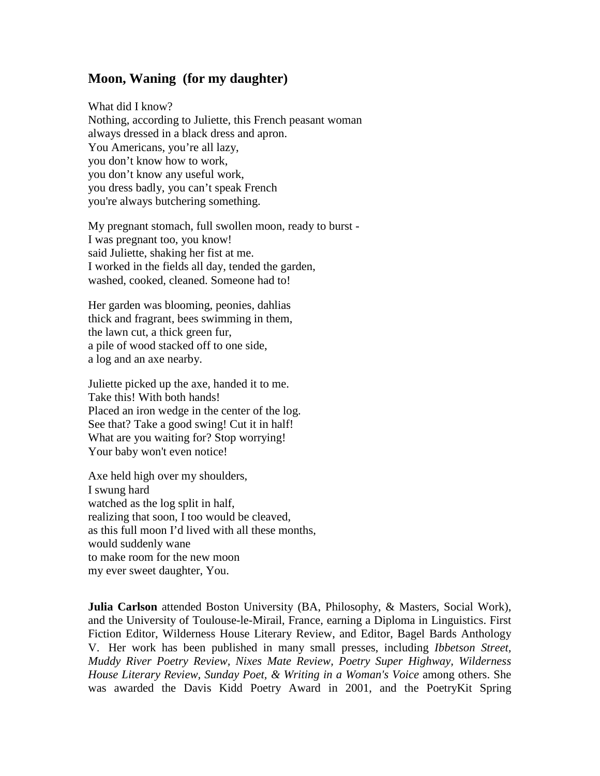## **Moon, Waning (for my daughter)**

What did I know? Nothing, according to Juliette, this French peasant woman always dressed in a black dress and apron. You Americans, you're all lazy, you don't know how to work, you don't know any useful work, you dress badly, you can't speak French you're always butchering something.

My pregnant stomach, full swollen moon, ready to burst - I was pregnant too, you know! said Juliette, shaking her fist at me. I worked in the fields all day, tended the garden, washed, cooked, cleaned. Someone had to!

Her garden was blooming, peonies, dahlias thick and fragrant, bees swimming in them, the lawn cut, a thick green fur, a pile of wood stacked off to one side, a log and an axe nearby.

Juliette picked up the axe, handed it to me. Take this! With both hands! Placed an iron wedge in the center of the log. See that? Take a good swing! Cut it in half! What are you waiting for? Stop worrying! Your baby won't even notice!

Axe held high over my shoulders, I swung hard watched as the log split in half, realizing that soon, I too would be cleaved, as this full moon I'd lived with all these months, would suddenly wane to make room for the new moon my ever sweet daughter, You.

**Julia Carlson** attended Boston University (BA, Philosophy, & Masters, Social Work), and the University of Toulouse-le-Mirail, France, earning a Diploma in Linguistics. First Fiction Editor, Wilderness House Literary Review, and Editor, Bagel Bards Anthology V. Her work has been published in many small presses, including *Ibbetson Street, Muddy River Poetry Review, Nixes Mate Review, Poetry Super Highway, Wilderness House Literary Review, Sunday Poet, & Writing in a Woman's Voice* among others. She was awarded the Davis Kidd Poetry Award in 2001, and the PoetryKit Spring